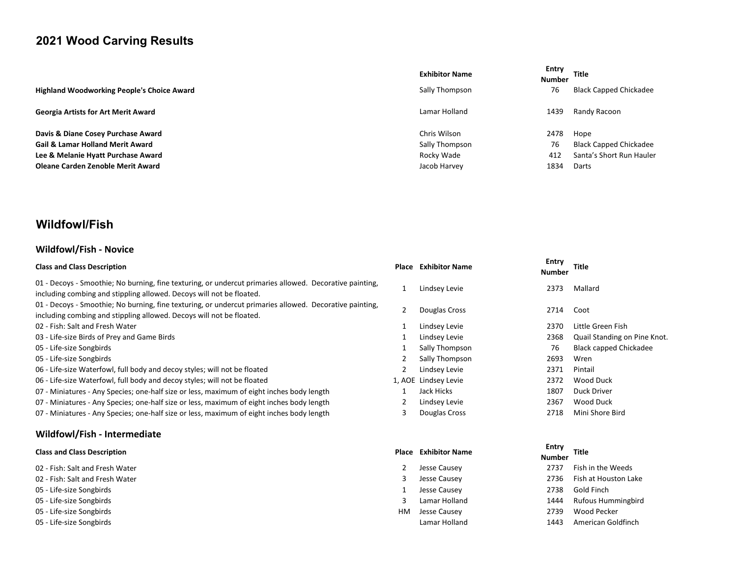# 2021 Wood Carving Results

|                                                   | <b>Exhibitor Name</b> | Entry<br><b>Number</b> | <b>Title</b>                  |
|---------------------------------------------------|-----------------------|------------------------|-------------------------------|
| <b>Highland Woodworking People's Choice Award</b> | Sally Thompson        | 76                     | <b>Black Capped Chickadee</b> |
| <b>Georgia Artists for Art Merit Award</b>        | Lamar Holland         | 1439                   | Randy Racoon                  |
| Davis & Diane Cosey Purchase Award                | Chris Wilson          | 2478                   | Hope                          |
| <b>Gail &amp; Lamar Holland Merit Award</b>       | Sally Thompson        | 76                     | Black Capped Chickadee        |
| Lee & Melanie Hyatt Purchase Award                | Rocky Wade            | 412                    | Santa's Short Run Hauler      |
| Oleane Carden Zenoble Merit Award                 | Jacob Harvey          | 1834                   | Darts                         |

# Wildfowl/Fish

#### Wildfowl/Fish - Novice

| <b>Class and Class Description</b>                                                                                                                                              |   | <b>Place Exhibitor Name</b> | Entry<br><b>Number</b> | <b>Title</b>                 |
|---------------------------------------------------------------------------------------------------------------------------------------------------------------------------------|---|-----------------------------|------------------------|------------------------------|
| 01 - Decoys - Smoothie; No burning, fine texturing, or undercut primaries allowed. Decorative painting,<br>including combing and stippling allowed. Decoys will not be floated. |   | Lindsey Levie               | 2373                   | Mallard                      |
| 01 - Decoys - Smoothie; No burning, fine texturing, or undercut primaries allowed. Decorative painting,<br>including combing and stippling allowed. Decoys will not be floated. |   | Douglas Cross               | 2714                   | Coot                         |
| 02 - Fish: Salt and Fresh Water                                                                                                                                                 |   | Lindsey Levie               | 2370                   | Little Green Fish            |
| 03 - Life-size Birds of Prey and Game Birds                                                                                                                                     |   | Lindsey Levie               | 2368                   | Quail Standing on Pine Knot. |
| 05 - Life-size Songbirds                                                                                                                                                        |   | Sally Thompson              | 76                     | Black capped Chickadee       |
| 05 - Life-size Songbirds                                                                                                                                                        |   | Sally Thompson              | 2693                   | Wren                         |
| 06 - Life-size Waterfowl, full body and decoy styles; will not be floated                                                                                                       |   | Lindsey Levie               | 2371                   | Pintail                      |
| 06 - Life-size Waterfowl, full body and decoy styles; will not be floated                                                                                                       |   | 1, AOE Lindsey Levie        | 2372                   | Wood Duck                    |
| 07 - Miniatures - Any Species; one-half size or less, maximum of eight inches body length                                                                                       |   | Jack Hicks                  | 1807                   | Duck Driver                  |
| 07 - Miniatures - Any Species; one-half size or less, maximum of eight inches body length                                                                                       |   | Lindsey Levie               | 2367                   | Wood Duck                    |
| 07 - Miniatures - Any Species; one-half size or less, maximum of eight inches body length                                                                                       | 3 | Douglas Cross               | 2718                   | Mini Shore Bird              |
| Wildfowl/Fish - Intermediate                                                                                                                                                    |   |                             |                        |                              |

#### Class and Class Description **Place Exhibitor Name Entry and Class Act 2016** Place Exhibitor Name Place Exhibitor Name

- 
- 
- 05 Life-size Songbirds 2008 Causey 2738 Gold Finance 2738 Gold Finance 2738 Gold Finance 2738 Gold Finance 2738 Gold Finance 2738 Gold Finance 2738 Gold Finance 2738 Gold Finance 2738 Gold Finance 2738 Gold Finance 2738
- 
- 05 Life-size Songbirds **Material Struck Constant Constant Constant Constant Constant Constant Constant Constant Constant Constant Constant Constant Constant Constant Constant Constant Constant Constant Constant Constant**
- 

|                                    |    |                             | Entry         |                      |  |
|------------------------------------|----|-----------------------------|---------------|----------------------|--|
| <b>Class and Class Description</b> |    | <b>Place Exhibitor Name</b> | <b>Number</b> | Title                |  |
| 02 - Fish: Salt and Fresh Water    |    | Jesse Causey                | 2737          | Fish in the Weeds    |  |
| 02 - Fish: Salt and Fresh Water    |    | Jesse Causey                | 2736          | Fish at Houston Lake |  |
| 05 - Life-size Songbirds           |    | Jesse Causey                | 2738          | Gold Finch           |  |
| 05 - Life-size Songbirds           |    | Lamar Holland               | 1444          | Rufous Hummingbird   |  |
| 05 - Life-size Songbirds           | НM | Jesse Causey                | 2739          | Wood Pecker          |  |
|                                    |    |                             |               |                      |  |

05 - Life-size Songbirds Lamar Holland 1443 American Goldfinch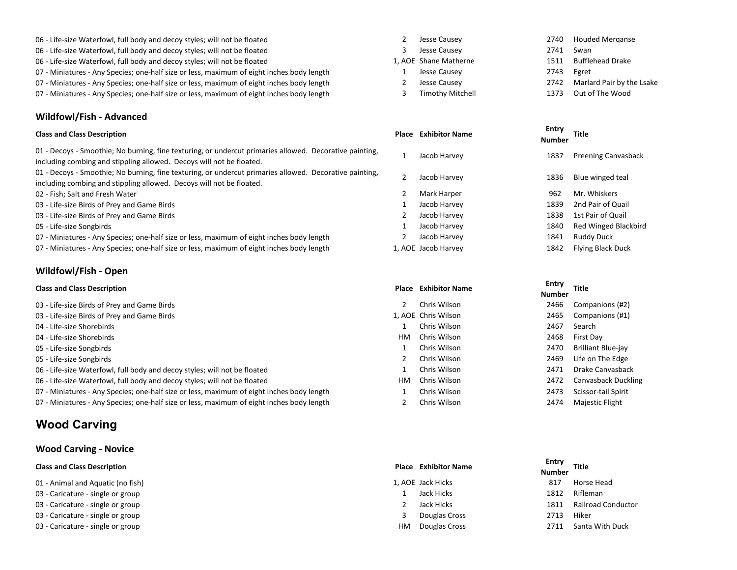- 06 Life-size Waterfowl, full body and decoy styles; will not be floated 2 Jesse Causey 2012 Jesse Causey 2012 2740 Houded Merganse
- 06 Life-size Waterfowl, full body and decoy styles; will not be floated and the style of the style of the style of the Swan Swan
- 06 Life-size Waterfowl, full body and decoy styles; will not be floated 1, AOE Shane Matherne 1511 Bufflehead Drake
- 07 Miniatures Any Species; one-half size or less, maximum of eight inches body length 1 Jesse Causey 2743 Egret
- 07 Miniatures Any Species; one-half size or less, maximum of eight inches body length 2 Jesse Causey 2742 Marlard Pair by the Lsake
- 07 Miniatures Any Species; one-half size or less, maximum of eight inches body length 3 Timothy Mitchell 1373 Out of The Wood

#### Wildfowl/Fish - Advanced

01 - Decoys - Smoothie; No burning, fine texturing, or undercut primaries allowed. Decorative painting, of Fuetoys Famouthe, No burning, the texturing, or undercut primatics anowed. Decorative painting, and allowed<br>including combing and stippling allowed. Decoys will not be floated.

01 - Decoys - Smoothie; No burning, fine texturing, or undercut primaries allowed. Decorative painting, of - becoys - shootine, two burning, the texturing, or undercut primaries anowed. Decorative pariting, and a g<br>including combing and stippling allowed. Decoys will not be floated.

- 02 Fish: Salt and Fresh Water 2 Mark Harper 2 Mark Harper 2 Mark Harper 962 Mr. Whiskers
- 03 Life-size Birds of Prey and Game Birds 1 Jacob Harvey 1839 2nd Pair of Quail
- 03 Life-size Birds of Prey and Game Birds 2 2 Jacob Harvey 2 Jacob Harvey 2 1838 1st Pair of Quail
- 

07 - Miniatures - Any Species; one-half size or less, maximum of eight inches body length 2 Jacob Harvey 1841 Ruddy Duck

07 - Miniatures - Any Species; one-half size or less, maximum of eight inches body length 1, AOE Jacob Harvey 1842 Flying Black Duck

#### Wildfowl/Fish - Open

# Entry<br>Class and Class Description و Entry المستخدم المستخدم المستخدم المستخدم المستخدم المستخدم المستخدم المستخدم ال<br>مطلبين المستخدم المستخدم المستخدم المستخدم المستخدم المستخدم المستخدم المستخدم المستخدم المستخدم المستخد

- 03 Life-size Birds of Prey and Game Birds 2 Chris Wilson 2466 Companions (#2)
- 03 Life-size Birds of Prey and Game Birds 1, ACC Chris Wilson 2465 Companions (#1)
- 04 Life-size Shorebirds 1 Chris Wilson 2467 Search
- 04 Life-size Shorebirds **Exercise Shorebirds** HM Chris Wilson 2468 First Day
- 
- 
- 06 Life-size Waterfowl, full body and decoy styles; will not be floated 1 Chris Wilson 2471 Drake Canvasback
- 06 Life-size Waterfowl, full body and decoy styles; will not be floated HM Chris Wilson 2472 Canvasback Duckling
- 07 Miniatures Any Species; one-half size or less, maximum of eight inches body length 1 Chris Wilson 2473 Scissor-tail Spirit
- 07 Miniatures Any Species; one-half size or less, maximum of eight inches body length 2 Chris Wilson 2474 Majestic Flight

## Wood Carving

#### Wood Carving - Novice

- 01 Animal and Aquatic (no fish) 1, AOE Jack Hicks 817 Horse Head and Aquatic (no fish) 1, AOE Jack Hicks 817 Horse Head and Aquatic (no fish)
- 03 Caricature single or group 1 Jack Hicks 1812 Rifleman and the state of the state of the state of the state of the state of the state of the state of the state of the state of the state of the state of the state of t
- 03 Caricature single or group and the state of the state of the state of the state of the state of the state of the state of the state of the state of the state of the state of the state of the state of the state of th
- 03 Caricature single or group 3 Douglas Cross 2713 High street and the street and the street and the street and the street and the street and the street and the street and the street and the street and the street and t
- 03 Caricature single or group example or group HM Douglas Cross 2711 Santa With Duck
- 
- 
- 
- 
- 
- 

| <b>Class and Class Description</b>                                                                                                                                              | <b>Place Exhibitor Name</b> | Entry<br><b>Numbe</b> |
|---------------------------------------------------------------------------------------------------------------------------------------------------------------------------------|-----------------------------|-----------------------|
| 01 - Decoys - Smoothie; No burning, fine texturing, or undercut primaries allowed. Decorative painting,<br>including combing and stippling allowed. Decoys will not be floated. | Jacob Harvey                | 1837                  |
| 01 - Decoys - Smoothie; No burning, fine texturing, or undercut primaries allowed. Decorative painting,<br>including combing and stippling allowed. Decoys will not be floated. | Jacob Harvey                | 1836                  |
| 02 - Fish; Salt and Fresh Water                                                                                                                                                 | Mark Harper                 | 962                   |
| 03 - Life-size Birds of Prey and Game Birds                                                                                                                                     | Jacob Harvey                | 1839                  |
| 03 - Life-size Birds of Prey and Game Birds                                                                                                                                     | Jacob Harvey                | 1838                  |
| 05 - Life-size Songbirds                                                                                                                                                        | Jacob Harvey                | 1840                  |
| 07 - Misiate Dean - Marc Canadian Ingeris Andrea Ingeres and contactor of a tale to alcohol and clouds law                                                                      | يتمنسما الطممما             | 1011                  |

- 
- 

- 
- 
- 
- 
- 
- 
- 
- 
- 

# Entry<br>Number Title 05 - Life-size Songbirds 1840 Red Winged Blackbird (1840 Red Winged Blackbird

# Entry<br>Number Title

- 05 Life-size Songbirds **1 Chris Wilson** 2470 Brilliant Blue-jay 05 - Life-size Songbirds 2469 Life on The Edge 2015 2469 Life on The Edge 2015 2469 Life on The Edge
	-

# Entry<br>Class and Class Description و Entry المستخدم المستخدم المستخدم المستخدم المستخدم المستخدم المستخدم المستخدم ال<br>مطلبين المستخدم المستخدم المستخدم المستخدم المستخدم المستخدم المستخدم المستخدم المستخدم المستخدم المستخد

- 
- 
- 
- 
- 

| Entry<br>Number | <b>Title</b>          |
|-----------------|-----------------------|
| 817             | Horse Head            |
| 1812            | Rifleman              |
| 1811            | Railroad Cond         |
| 2713            | Hiker                 |
| 7711            | $C_{2n+2}$ With $D_1$ |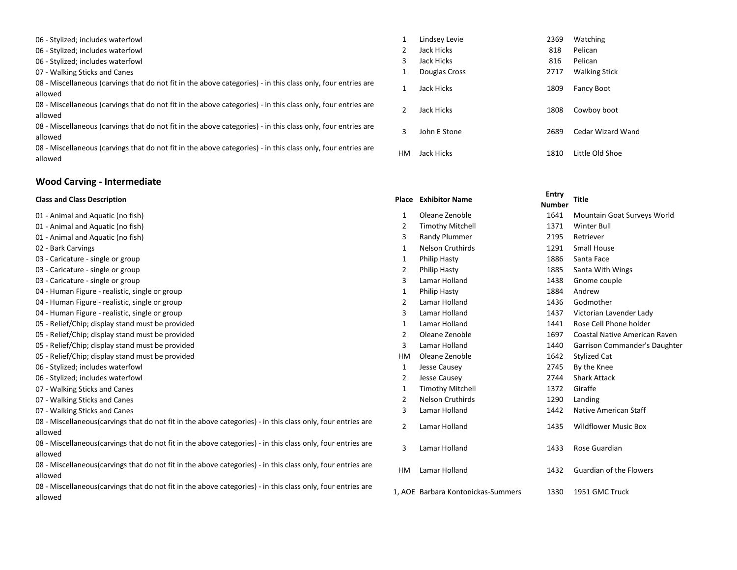06 - Stylized; includes waterfowl 1 1 Lindsey Levie 2369 Watching 2369 Watching 2369 Watching 2369 Watching 2369 Watching 2369 Watching 2369 Watching 2369 Watching 2369 Watching 2369 Watching 2369 Watching 2369 Watching 23

06 - Stylized; includes waterfowl 2  $\overline{a}$ 

- 06 Stylized; includes waterfowl 3 3
- 07 Walking Sticks and Canes 1 **1**

08 - Miscellaneous (carvings that do not fit in the above categories) - in this class only, four entries are  $\qquad \qquad 1$  Jack Hicks  $\qquad \qquad 1809$  Fancy Boot

08 - Miscellaneous (carvings that do not fit in the above categories) - in this class only, four entries are  $\qquad \qquad 2$  Jack Hicks  $\qquad \qquad 1808$  Cowboy boot<br>allowed

08 - Miscellaneous (carvings that do not fit in the above categories) - in this class only, four entries are  $\qquad \qquad 3$  John E Stone  $\qquad \qquad 2689$  Cedar Wizard Wand allowed

08 - Miscellaneous (carvings that do not fit in the above categories) - in this class only, four entries are divided that the state of the Old Shoe allowed allowed the Shoe entries are the Music state of the Old Shoe entri

### Wood Carving - Intermediate

| <b>Class and Class Description</b>                                                                                      |           | <b>Place Exhibitor Name</b>        | Entry<br><b>Number</b> | <b>Title</b>                   |
|-------------------------------------------------------------------------------------------------------------------------|-----------|------------------------------------|------------------------|--------------------------------|
| 01 - Animal and Aquatic (no fish)                                                                                       |           | Oleane Zenoble                     | 1641                   | Mountain Goat Surveys World    |
| 01 - Animal and Aquatic (no fish)                                                                                       | 2         | <b>Timothy Mitchell</b>            | 1371                   | <b>Winter Bull</b>             |
| 01 - Animal and Aquatic (no fish)                                                                                       | 3         | Randy Plummer                      | 2195                   | Retriever                      |
| 02 - Bark Carvings                                                                                                      | 1         | <b>Nelson Cruthirds</b>            | 1291                   | <b>Small House</b>             |
| 03 - Caricature - single or group                                                                                       | 1         | <b>Philip Hasty</b>                | 1886                   | Santa Face                     |
| 03 - Caricature - single or group                                                                                       | 2         | <b>Philip Hasty</b>                | 1885                   | Santa With Wings               |
| 03 - Caricature - single or group                                                                                       | 3         | Lamar Holland                      | 1438                   | Gnome couple                   |
| 04 - Human Figure - realistic, single or group                                                                          | 1         | <b>Philip Hasty</b>                | 1884                   | Andrew                         |
| 04 - Human Figure - realistic, single or group                                                                          | 2         | Lamar Holland                      | 1436                   | Godmother                      |
| 04 - Human Figure - realistic, single or group                                                                          | 3         | Lamar Holland                      | 1437                   | Victorian Lavender Lady        |
| 05 - Relief/Chip; display stand must be provided                                                                        | 1         | Lamar Holland                      | 1441                   | Rose Cell Phone holder         |
| 05 - Relief/Chip; display stand must be provided                                                                        | 2         | Oleane Zenoble                     | 1697                   | Coastal Native American Raven  |
| 05 - Relief/Chip; display stand must be provided                                                                        | 3         | Lamar Holland                      | 1440                   | Garrison Commander's Daughter  |
| 05 - Relief/Chip; display stand must be provided                                                                        | <b>HM</b> | Oleane Zenoble                     | 1642                   | <b>Stylized Cat</b>            |
| 06 - Stylized; includes waterfowl                                                                                       | 1         | Jesse Causey                       | 2745                   | By the Knee                    |
| 06 - Stylized; includes waterfowl                                                                                       | 2         | Jesse Causey                       | 2744                   | <b>Shark Attack</b>            |
| 07 - Walking Sticks and Canes                                                                                           | 1         | <b>Timothy Mitchell</b>            | 1372                   | Giraffe                        |
| 07 - Walking Sticks and Canes                                                                                           | 2         | <b>Nelson Cruthirds</b>            | 1290                   | Landing                        |
| 07 - Walking Sticks and Canes                                                                                           | 3         | Lamar Holland                      | 1442                   | Native American Staff          |
| 08 - Miscellaneous(carvings that do not fit in the above categories) - in this class only, four entries are<br>allowed  | 2         | Lamar Holland                      | 1435                   | <b>Wildflower Music Box</b>    |
| 08 - Miscellaneous (carvings that do not fit in the above categories) - in this class only, four entries are<br>allowed | 3         | Lamar Holland                      | 1433                   | Rose Guardian                  |
| 08 - Miscellaneous(carvings that do not fit in the above categories) - in this class only, four entries are<br>allowed  | <b>HM</b> | <b>Lamar Holland</b>               | 1432                   | <b>Guardian of the Flowers</b> |
| 08 - Miscellaneous (carvings that do not fit in the above categories) - in this class only, four entries are<br>allowed |           | 1. AOE Barbara Kontonickas-Summers | 1330                   | 1951 GMC Truck                 |

|   | Lindsey Levie | 2369 | Watching             |
|---|---------------|------|----------------------|
|   | Jack Hicks    | 818  | Pelican              |
|   | Jack Hicks    | 816  | Pelican              |
|   | Douglas Cross | 2717 | <b>Walking Stick</b> |
|   | Jack Hicks    | 1809 | <b>Fancy Boot</b>    |
|   | Jack Hicks    | 1808 | Cowboy boot          |
|   | John F Stone  | 2689 | Cedar Wizard Wand    |
| л | Jack Hicks    | 1810 | Little Old Shoe      |

| Entry         | <b>Title</b>                        |
|---------------|-------------------------------------|
| <b>Number</b> |                                     |
| 1641          | Mountain Goat Surveys World         |
| 1371          | <b>Winter Bull</b>                  |
| 2195          | Retriever                           |
| 1291          | <b>Small House</b>                  |
| 1886          | Santa Face                          |
| 1885          | Santa With Wings                    |
| 1438          | Gnome couple                        |
| 1884          | Andrew                              |
|               | 1436 Godmother                      |
| 1437          | Victorian Lavender Lady             |
| 1441          | Rose Cell Phone holder              |
| 1697          | <b>Coastal Native American Rave</b> |
| 1440          | Garrison Commander's Daugh          |
| 1642          | <b>Stylized Cat</b>                 |
| 2745          | By the Knee                         |
| 2744          | <b>Shark Attack</b>                 |
| 1372          | Giraffe                             |
| 1290          | Landing                             |
| 1442          | Native American Staff               |
| 1435          | <b>Wildflower Music Box</b>         |
| 1433          | Rose Guardian                       |
| 1432          | Guardian of the Flowers             |
| 1330<br>rs    | 1951 GMC Truck                      |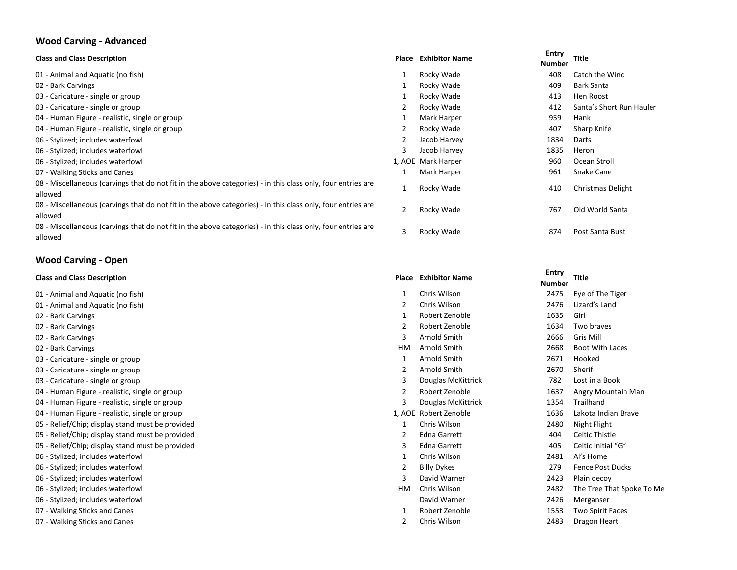## Wood Carving - Advanced

| <b>Class and Class Description</b>                                                                                      | Place          | <b>Exhibitor Name</b> | Entry<br><b>Number</b> | <b>Title</b>             |
|-------------------------------------------------------------------------------------------------------------------------|----------------|-----------------------|------------------------|--------------------------|
| 01 - Animal and Aquatic (no fish)                                                                                       | 1              | Rocky Wade            | 408                    | Catch the Wind           |
| 02 - Bark Carvings                                                                                                      | 1              | Rocky Wade            | 409                    | <b>Bark Santa</b>        |
| 03 - Caricature - single or group                                                                                       | 1              | Rocky Wade            | 413                    | Hen Roost                |
| 03 - Caricature - single or group                                                                                       | 2              | Rocky Wade            | 412                    | Santa's Short Run Hauler |
| 04 - Human Figure - realistic, single or group                                                                          |                | Mark Harper           | 959                    | Hank                     |
| 04 - Human Figure - realistic, single or group                                                                          | 2              | Rocky Wade            | 407                    | Sharp Knife              |
| 06 - Stylized; includes waterfowl                                                                                       | 2              | Jacob Harvey          | 1834                   | Darts                    |
| 06 - Stylized; includes waterfowl                                                                                       | 3              | Jacob Harvey          | 1835                   | Heron                    |
| 06 - Stylized; includes waterfowl                                                                                       |                | 1, AOE Mark Harper    | 960                    | Ocean Stroll             |
| 07 - Walking Sticks and Canes                                                                                           |                | Mark Harper           | 961                    | Snake Cane               |
| 08 - Miscellaneous (carvings that do not fit in the above categories) - in this class only, four entries are<br>allowed |                | Rocky Wade            | 410                    | Christmas Delight        |
| 08 - Miscellaneous (carvings that do not fit in the above categories) - in this class only, four entries are<br>allowed | $\overline{2}$ | Rocky Wade            | 767                    | Old World Santa          |
| 08 - Miscellaneous (carvings that do not fit in the above categories) - in this class only, four entries are<br>allowed | 3              | Rocky Wade            | 874                    | Post Santa Bust          |
|                                                                                                                         |                |                       |                        |                          |

# Wood Carving - Open

| <b>Class and Class Description</b>               |           | <b>Place Exhibitor Name</b> | Entry<br><b>Number</b> | <b>Title</b>              |
|--------------------------------------------------|-----------|-----------------------------|------------------------|---------------------------|
| 01 - Animal and Aquatic (no fish)                |           | Chris Wilson                | 2475                   | Eye of The Tiger          |
| 01 - Animal and Aquatic (no fish)                |           | Chris Wilson                | 2476                   | Lizard's Land             |
| 02 - Bark Carvings                               |           | Robert Zenoble              | 1635                   | Girl                      |
| 02 - Bark Carvings                               |           | Robert Zenoble              | 1634                   | Two braves                |
| 02 - Bark Carvings                               |           | Arnold Smith                | 2666                   | Gris Mill                 |
| 02 - Bark Carvings                               | <b>HM</b> | Arnold Smith                | 2668                   | Boot With Laces           |
| 03 - Caricature - single or group                |           | Arnold Smith                | 2671                   | Hooked                    |
| 03 - Caricature - single or group                |           | Arnold Smith                | 2670                   | Sherif                    |
| 03 - Caricature - single or group                | 3         | Douglas McKittrick          | 782                    | Lost in a Book            |
| 04 - Human Figure - realistic, single or group   |           | Robert Zenoble              | 1637                   | Angry Mountain Man        |
| 04 - Human Figure - realistic, single or group   |           | Douglas McKittrick          | 1354                   | Trailhand                 |
| 04 - Human Figure - realistic, single or group   |           | 1, AOE Robert Zenoble       | 1636                   | Lakota Indian Brave       |
| 05 - Relief/Chip; display stand must be provided |           | Chris Wilson                | 2480                   | Night Flight              |
| 05 - Relief/Chip; display stand must be provided |           | <b>Edna Garrett</b>         | 404                    | Celtic Thistle            |
| 05 - Relief/Chip; display stand must be provided |           | <b>Edna Garrett</b>         | 405                    | Celtic Initial "G"        |
| 06 - Stylized; includes waterfowl                |           | Chris Wilson                | 2481                   | Al's Home                 |
| 06 - Stylized; includes waterfowl                |           | <b>Billy Dykes</b>          | 279                    | <b>Fence Post Ducks</b>   |
| 06 - Stylized; includes waterfowl                |           | David Warner                | 2423                   | Plain decoy               |
| 06 - Stylized; includes waterfowl                | HМ        | Chris Wilson                | 2482                   | The Tree That Spoke To Me |
| 06 - Stylized; includes waterfowl                |           | David Warner                | 2426                   | Merganser                 |
| 07 - Walking Sticks and Canes                    |           | Robert Zenoble              | 1553                   | <b>Two Spirit Faces</b>   |
| 07 - Walking Sticks and Canes                    |           | Chris Wilson                | 2483                   | Dragon Heart              |